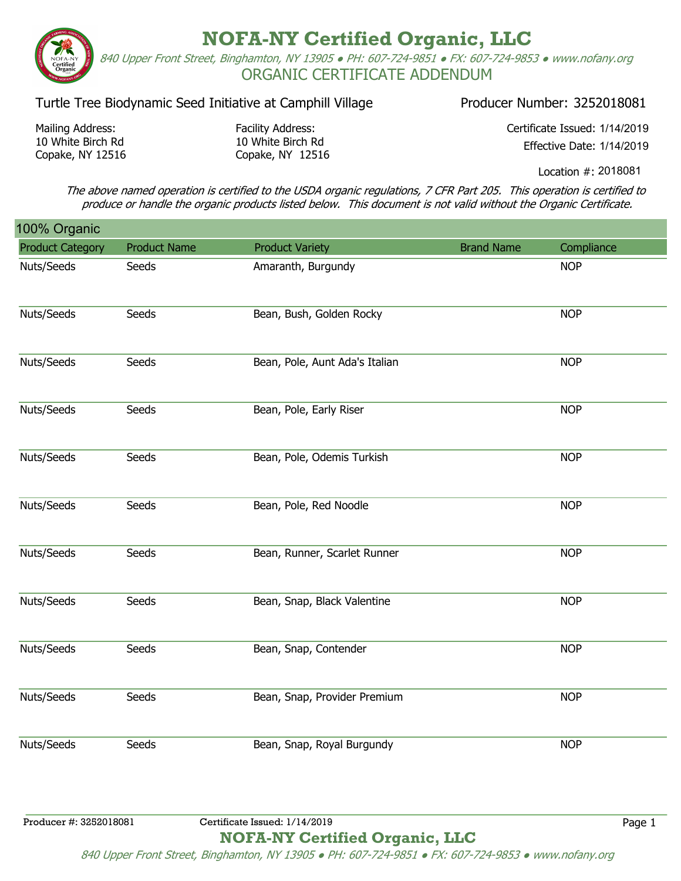**NOFA-NY Certified Organic, LLC** 840 Upper Front Street, Binghamton, NY 13905 ● PH: 607-724-9851 ● FX: 607-724-9853 ● www.nofany.org ORGANIC CERTIFICATE ADDENDUM

## Turtle Tree Biodynamic Seed Initiative at Camphill Village Producer Number: 3252018081

Mailing Address: 10 White Birch Rd Copake, NY 12516 Facility Address: 10 White Birch Rd Copake, NY 12516 Certificate Issued: 1/14/2019 Effective Date: 1/14/2019

Location #: 2018081

The above named operation is certified to the USDA organic regulations, 7 CFR Part 205. This operation is certified to produce or handle the organic products listed below. This document is not valid without the Organic Certificate.

| 100% Organic            |                     |                                |                   |            |
|-------------------------|---------------------|--------------------------------|-------------------|------------|
| <b>Product Category</b> | <b>Product Name</b> | <b>Product Variety</b>         | <b>Brand Name</b> | Compliance |
| Nuts/Seeds              | Seeds               | Amaranth, Burgundy             |                   | <b>NOP</b> |
| Nuts/Seeds              | Seeds               | Bean, Bush, Golden Rocky       |                   | <b>NOP</b> |
| Nuts/Seeds              | Seeds               | Bean, Pole, Aunt Ada's Italian |                   | <b>NOP</b> |
| Nuts/Seeds              | Seeds               | Bean, Pole, Early Riser        |                   | <b>NOP</b> |
| Nuts/Seeds              | Seeds               | Bean, Pole, Odemis Turkish     |                   | <b>NOP</b> |
| Nuts/Seeds              | Seeds               | Bean, Pole, Red Noodle         |                   | <b>NOP</b> |
| Nuts/Seeds              | Seeds               | Bean, Runner, Scarlet Runner   |                   | <b>NOP</b> |
| Nuts/Seeds              | Seeds               | Bean, Snap, Black Valentine    |                   | <b>NOP</b> |
| Nuts/Seeds              | Seeds               | Bean, Snap, Contender          |                   | <b>NOP</b> |
| Nuts/Seeds              | Seeds               | Bean, Snap, Provider Premium   |                   | <b>NOP</b> |
| Nuts/Seeds              | Seeds               | Bean, Snap, Royal Burgundy     |                   | <b>NOP</b> |
| Producer #: 3252018081  |                     | Certificate Issued: 1/14/2019  |                   | Page 1     |

**NOFA-NY Certified Organic, LLC**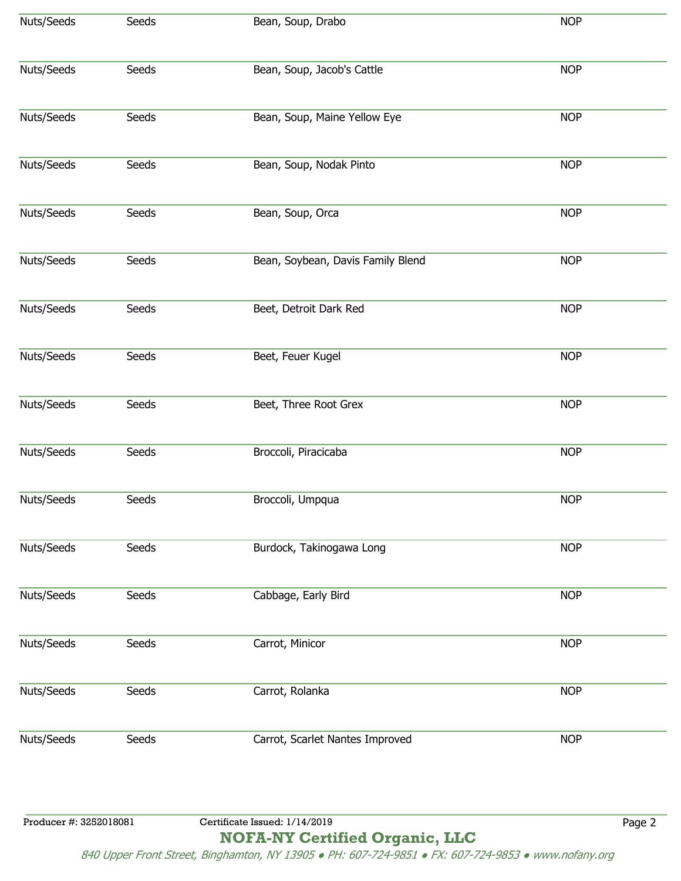| Nuts/Seeds             | Seeds | Bean, Soup, Drabo                 | <b>NOP</b> |
|------------------------|-------|-----------------------------------|------------|
| Nuts/Seeds             | Seeds | Bean, Soup, Jacob's Cattle        | <b>NOP</b> |
| Nuts/Seeds             | Seeds | Bean, Soup, Maine Yellow Eye      | <b>NOP</b> |
| Nuts/Seeds             | Seeds | Bean, Soup, Nodak Pinto           | <b>NOP</b> |
| Nuts/Seeds             | Seeds | Bean, Soup, Orca                  | <b>NOP</b> |
| Nuts/Seeds             | Seeds | Bean, Soybean, Davis Family Blend | <b>NOP</b> |
| Nuts/Seeds             | Seeds | Beet, Detroit Dark Red            | <b>NOP</b> |
| Nuts/Seeds             | Seeds | Beet, Feuer Kugel                 | <b>NOP</b> |
| Nuts/Seeds             | Seeds | Beet, Three Root Grex             | <b>NOP</b> |
| Nuts/Seeds             | Seeds | Broccoli, Piracicaba              | <b>NOP</b> |
| Nuts/Seeds             | Seeds | Broccoli, Umpqua                  | <b>NOP</b> |
| Nuts/Seeds             | Seeds | Burdock, Takinogawa Long          | <b>NOP</b> |
| Nuts/Seeds             | Seeds | Cabbage, Early Bird               | <b>NOP</b> |
| Nuts/Seeds             | Seeds | Carrot, Minicor                   | <b>NOP</b> |
| Nuts/Seeds             | Seeds | Carrot, Rolanka                   | <b>NOP</b> |
| Nuts/Seeds             | Seeds | Carrot, Scarlet Nantes Improved   | <b>NOP</b> |
|                        |       |                                   |            |
| Producer #: 3252018081 |       | Certificate Issued: 1/14/2019     | Page 2     |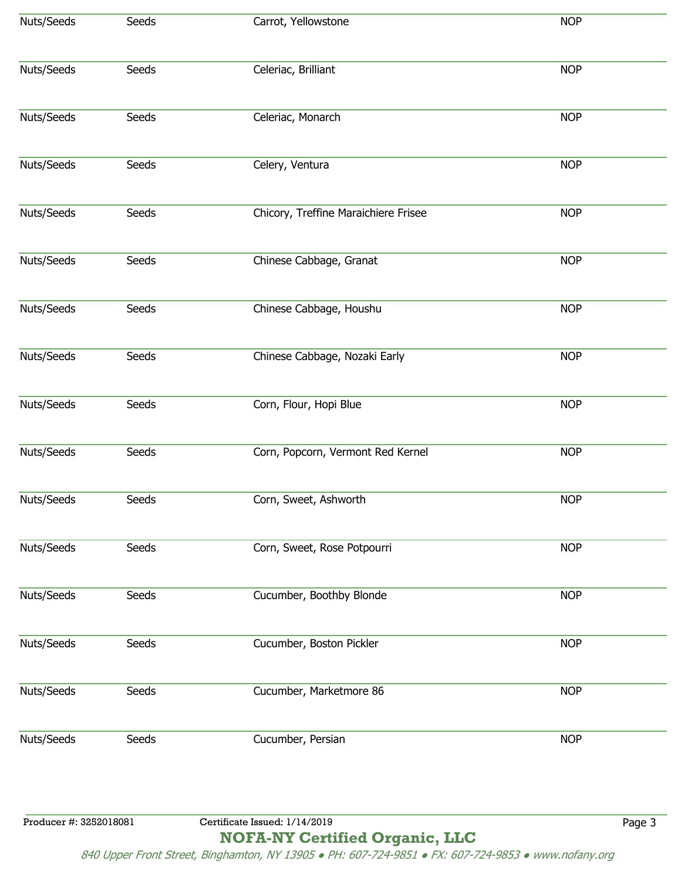| Nuts/Seeds             | Seeds | Carrot, Yellowstone                  | <b>NOP</b> |
|------------------------|-------|--------------------------------------|------------|
| Nuts/Seeds             | Seeds | Celeriac, Brilliant                  | <b>NOP</b> |
| Nuts/Seeds             | Seeds | Celeriac, Monarch                    | <b>NOP</b> |
| Nuts/Seeds             | Seeds | Celery, Ventura                      | <b>NOP</b> |
| Nuts/Seeds             | Seeds | Chicory, Treffine Maraichiere Frisee | <b>NOP</b> |
| Nuts/Seeds             | Seeds | Chinese Cabbage, Granat              | <b>NOP</b> |
| Nuts/Seeds             | Seeds | Chinese Cabbage, Houshu              | <b>NOP</b> |
| Nuts/Seeds             | Seeds | Chinese Cabbage, Nozaki Early        | <b>NOP</b> |
| Nuts/Seeds             | Seeds | Corn, Flour, Hopi Blue               | <b>NOP</b> |
| Nuts/Seeds             | Seeds | Corn, Popcorn, Vermont Red Kernel    | <b>NOP</b> |
| Nuts/Seeds             | Seeds | Corn, Sweet, Ashworth                | <b>NOP</b> |
| Nuts/Seeds             | Seeds | Corn, Sweet, Rose Potpourri          | <b>NOP</b> |
| Nuts/Seeds             | Seeds | Cucumber, Boothby Blonde             | <b>NOP</b> |
| Nuts/Seeds             | Seeds | Cucumber, Boston Pickler             | <b>NOP</b> |
| Nuts/Seeds             | Seeds | Cucumber, Marketmore 86              | <b>NOP</b> |
| Nuts/Seeds             | Seeds | Cucumber, Persian                    | <b>NOP</b> |
|                        |       |                                      |            |
| Producer #: 3252018081 |       | Certificate Issued: 1/14/2019        | Page 3     |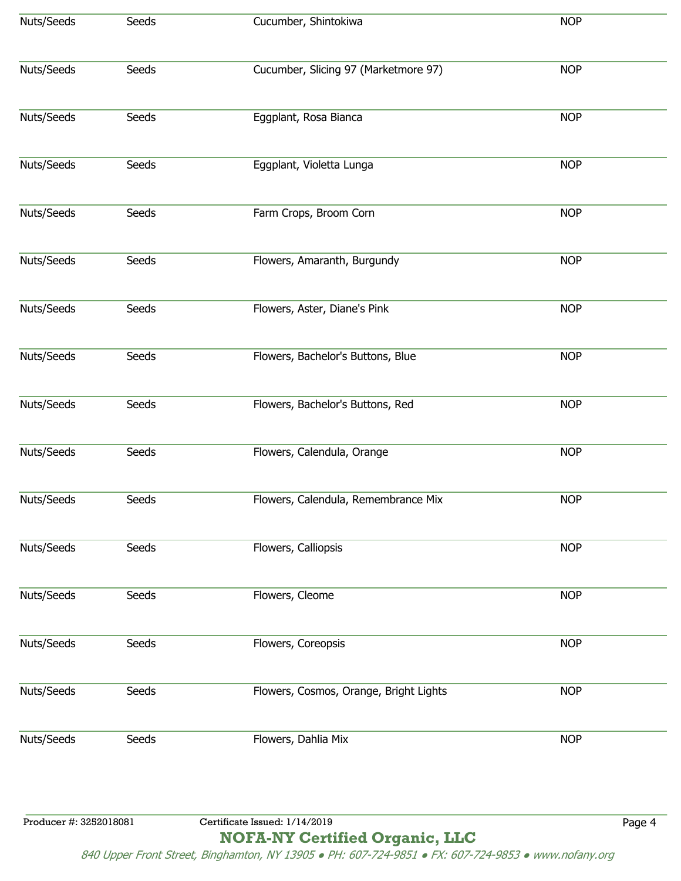| Nuts/Seeds             | Seeds | Cucumber, Shintokiwa                   | <b>NOP</b> |
|------------------------|-------|----------------------------------------|------------|
| Nuts/Seeds             | Seeds | Cucumber, Slicing 97 (Marketmore 97)   | <b>NOP</b> |
| Nuts/Seeds             | Seeds | Eggplant, Rosa Bianca                  | <b>NOP</b> |
| Nuts/Seeds             | Seeds | Eggplant, Violetta Lunga               | <b>NOP</b> |
| Nuts/Seeds             | Seeds | Farm Crops, Broom Corn                 | <b>NOP</b> |
| Nuts/Seeds             | Seeds | Flowers, Amaranth, Burgundy            | <b>NOP</b> |
| Nuts/Seeds             | Seeds | Flowers, Aster, Diane's Pink           | <b>NOP</b> |
| Nuts/Seeds             | Seeds | Flowers, Bachelor's Buttons, Blue      | <b>NOP</b> |
| Nuts/Seeds             | Seeds | Flowers, Bachelor's Buttons, Red       | <b>NOP</b> |
| Nuts/Seeds             | Seeds | Flowers, Calendula, Orange             | <b>NOP</b> |
| Nuts/Seeds             | Seeds | Flowers, Calendula, Remembrance Mix    | <b>NOP</b> |
| Nuts/Seeds             | Seeds | Flowers, Calliopsis                    | <b>NOP</b> |
| Nuts/Seeds             | Seeds | Flowers, Cleome                        | <b>NOP</b> |
| Nuts/Seeds             | Seeds | Flowers, Coreopsis                     | <b>NOP</b> |
| Nuts/Seeds             | Seeds | Flowers, Cosmos, Orange, Bright Lights | <b>NOP</b> |
| Nuts/Seeds             | Seeds | Flowers, Dahlia Mix                    | <b>NOP</b> |
|                        |       |                                        |            |
| Producer #: 3252018081 |       | Certificate Issued: 1/14/2019          | Page 4     |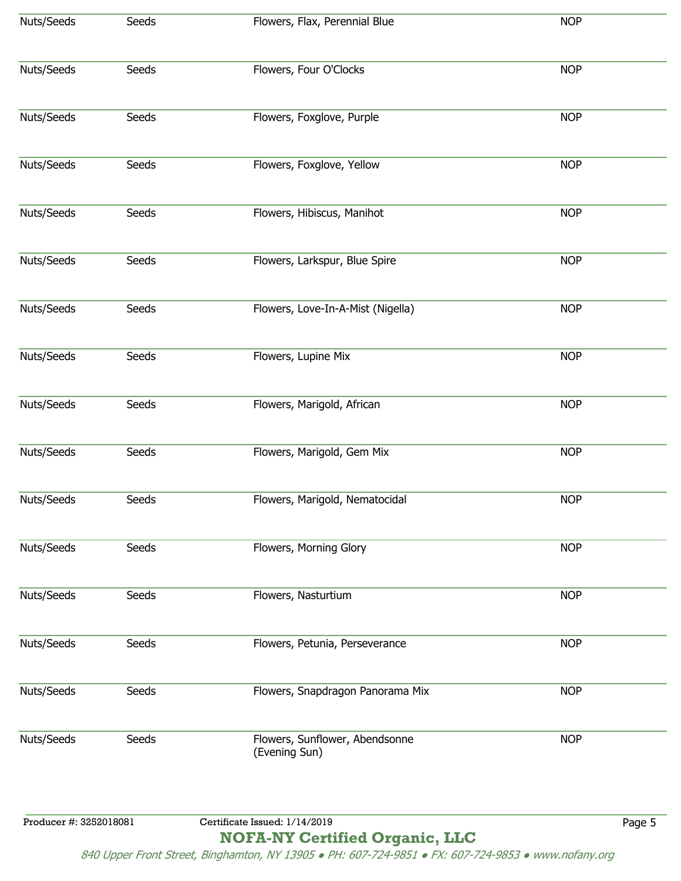| Nuts/Seeds             | Seeds | Flowers, Flax, Perennial Blue                   | <b>NOP</b> |
|------------------------|-------|-------------------------------------------------|------------|
| Nuts/Seeds             | Seeds | Flowers, Four O'Clocks                          | <b>NOP</b> |
| Nuts/Seeds             | Seeds | Flowers, Foxglove, Purple                       | <b>NOP</b> |
| Nuts/Seeds             | Seeds | Flowers, Foxglove, Yellow                       | <b>NOP</b> |
| Nuts/Seeds             | Seeds | Flowers, Hibiscus, Manihot                      | <b>NOP</b> |
| Nuts/Seeds             | Seeds | Flowers, Larkspur, Blue Spire                   | <b>NOP</b> |
| Nuts/Seeds             | Seeds | Flowers, Love-In-A-Mist (Nigella)               | <b>NOP</b> |
| Nuts/Seeds             | Seeds | Flowers, Lupine Mix                             | <b>NOP</b> |
| Nuts/Seeds             | Seeds | Flowers, Marigold, African                      | <b>NOP</b> |
| Nuts/Seeds             | Seeds | Flowers, Marigold, Gem Mix                      | <b>NOP</b> |
| Nuts/Seeds             | Seeds | Flowers, Marigold, Nematocidal                  | <b>NOP</b> |
| Nuts/Seeds             | Seeds | Flowers, Morning Glory                          | <b>NOP</b> |
| Nuts/Seeds             | Seeds | Flowers, Nasturtium                             | <b>NOP</b> |
| Nuts/Seeds             | Seeds | Flowers, Petunia, Perseverance                  | <b>NOP</b> |
| Nuts/Seeds             | Seeds | Flowers, Snapdragon Panorama Mix                | <b>NOP</b> |
| Nuts/Seeds             | Seeds | Flowers, Sunflower, Abendsonne<br>(Evening Sun) | <b>NOP</b> |
| Producer #: 3252018081 |       | Certificate Issued: 1/14/2019                   | Page 5     |

**NOFA-NY Certified Organic, LLC** 840 Upper Front Street, Binghamton, NY 13905 ● PH: 607-724-9851 ● FX: 607-724-9853 ● www.nofany.org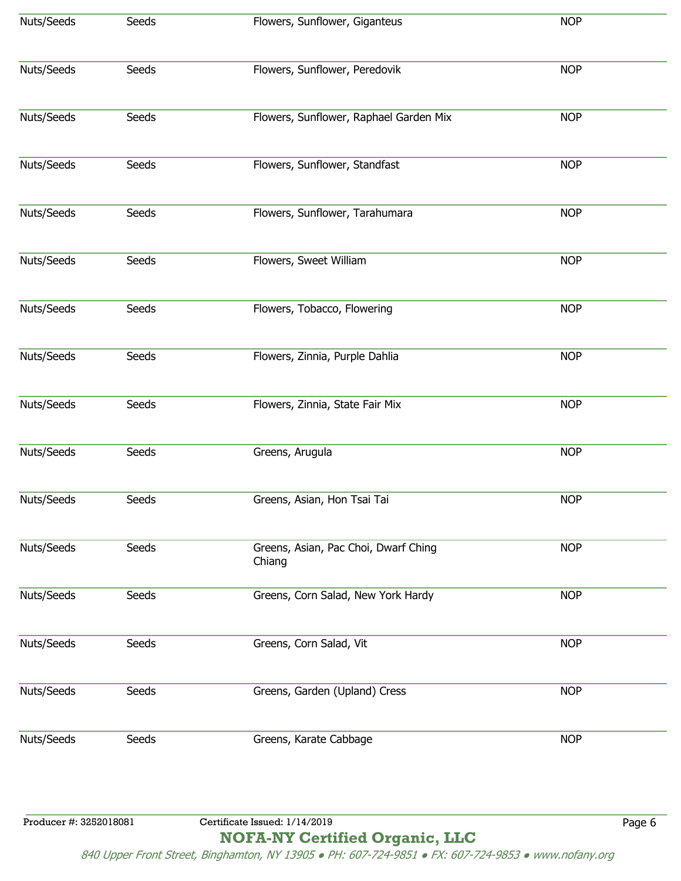| Nuts/Seeds | Seeds | Flowers, Sunflower, Giganteus                  |            |
|------------|-------|------------------------------------------------|------------|
|            |       |                                                | <b>NOP</b> |
| Nuts/Seeds | Seeds | Flowers, Sunflower, Peredovik                  | <b>NOP</b> |
| Nuts/Seeds | Seeds | Flowers, Sunflower, Raphael Garden Mix         | <b>NOP</b> |
| Nuts/Seeds | Seeds | Flowers, Sunflower, Standfast                  | <b>NOP</b> |
| Nuts/Seeds | Seeds | Flowers, Sunflower, Tarahumara                 | <b>NOP</b> |
| Nuts/Seeds | Seeds | Flowers, Sweet William                         | <b>NOP</b> |
| Nuts/Seeds | Seeds | Flowers, Tobacco, Flowering                    | <b>NOP</b> |
| Nuts/Seeds | Seeds | Flowers, Zinnia, Purple Dahlia                 | <b>NOP</b> |
| Nuts/Seeds | Seeds | Flowers, Zinnia, State Fair Mix                | <b>NOP</b> |
| Nuts/Seeds | Seeds | Greens, Arugula                                | <b>NOP</b> |
| Nuts/Seeds | Seeds | Greens, Asian, Hon Tsai Tai                    | <b>NOP</b> |
| Nuts/Seeds | Seeds | Greens, Asian, Pac Choi, Dwarf Ching<br>Chiang | <b>NOP</b> |
| Nuts/Seeds | Seeds | Greens, Corn Salad, New York Hardy             | <b>NOP</b> |
| Nuts/Seeds | Seeds | Greens, Corn Salad, Vit                        | <b>NOP</b> |
| Nuts/Seeds | Seeds | Greens, Garden (Upland) Cress                  | <b>NOP</b> |
| Nuts/Seeds | Seeds | Greens, Karate Cabbage                         | <b>NOP</b> |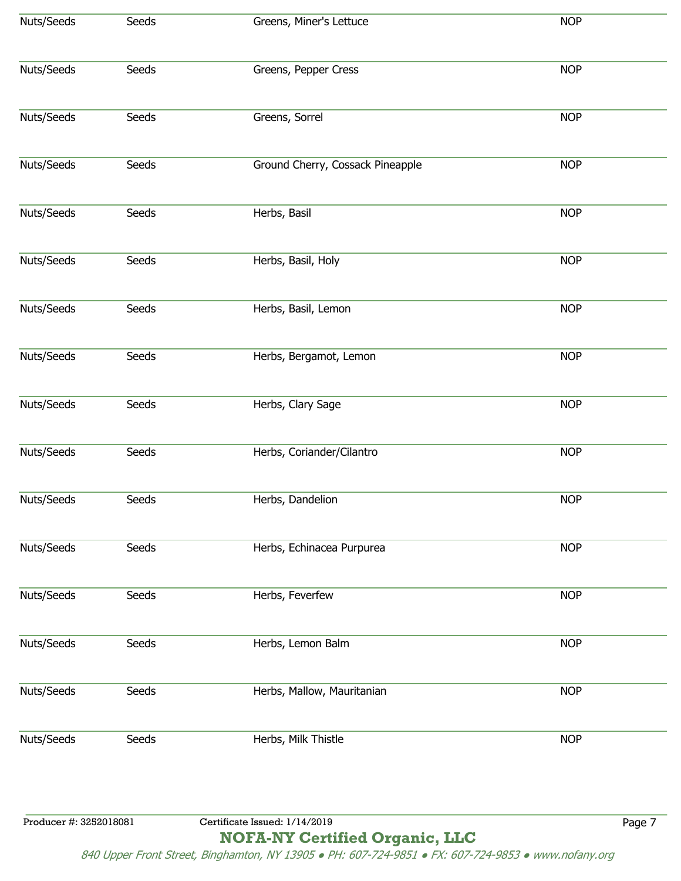| Nuts/Seeds             | Seeds | Greens, Miner's Lettuce          | <b>NOP</b> |
|------------------------|-------|----------------------------------|------------|
| Nuts/Seeds             | Seeds | Greens, Pepper Cress             | <b>NOP</b> |
| Nuts/Seeds             | Seeds | Greens, Sorrel                   | <b>NOP</b> |
| Nuts/Seeds             | Seeds | Ground Cherry, Cossack Pineapple | <b>NOP</b> |
| Nuts/Seeds             | Seeds | Herbs, Basil                     | <b>NOP</b> |
| Nuts/Seeds             | Seeds | Herbs, Basil, Holy               | <b>NOP</b> |
| Nuts/Seeds             | Seeds | Herbs, Basil, Lemon              | <b>NOP</b> |
| Nuts/Seeds             | Seeds | Herbs, Bergamot, Lemon           | <b>NOP</b> |
| Nuts/Seeds             | Seeds | Herbs, Clary Sage                | <b>NOP</b> |
| Nuts/Seeds             | Seeds | Herbs, Coriander/Cilantro        | <b>NOP</b> |
| Nuts/Seeds             | Seeds | Herbs, Dandelion                 | <b>NOP</b> |
| Nuts/Seeds             | Seeds | Herbs, Echinacea Purpurea        | <b>NOP</b> |
| Nuts/Seeds             | Seeds | Herbs, Feverfew                  | <b>NOP</b> |
| Nuts/Seeds             | Seeds | Herbs, Lemon Balm                | <b>NOP</b> |
| Nuts/Seeds             | Seeds | Herbs, Mallow, Mauritanian       | <b>NOP</b> |
| Nuts/Seeds             | Seeds | Herbs, Milk Thistle              | <b>NOP</b> |
|                        |       |                                  |            |
| Producer #: 3252018081 |       | Certificate Issued: 1/14/2019    | Page 7     |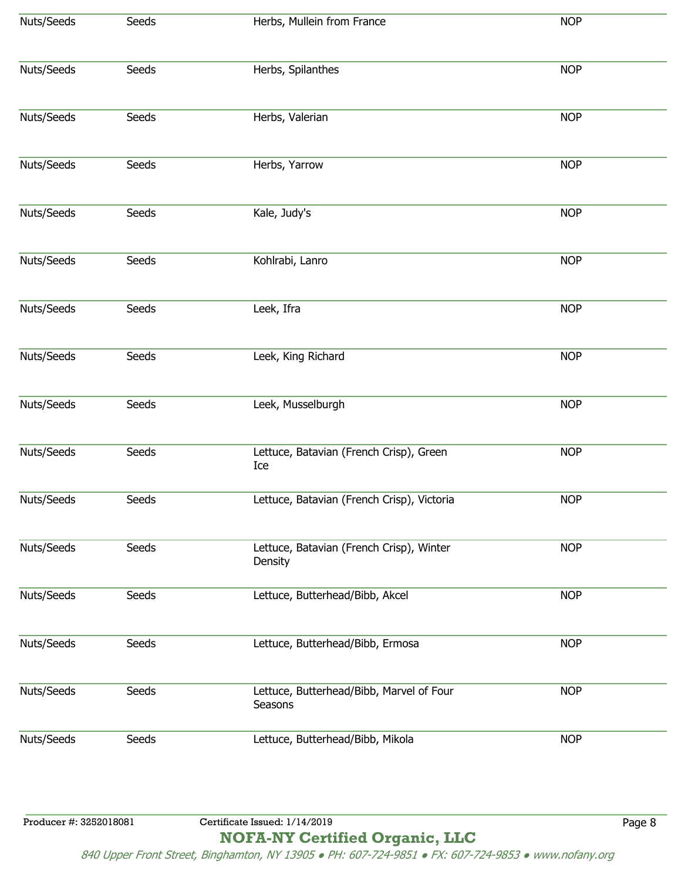| Nuts/Seeds | Seeds | Herbs, Mullein from France                          | <b>NOP</b> |
|------------|-------|-----------------------------------------------------|------------|
| Nuts/Seeds | Seeds | Herbs, Spilanthes                                   | <b>NOP</b> |
| Nuts/Seeds | Seeds | Herbs, Valerian                                     | <b>NOP</b> |
| Nuts/Seeds | Seeds | Herbs, Yarrow                                       | <b>NOP</b> |
| Nuts/Seeds | Seeds | Kale, Judy's                                        | <b>NOP</b> |
| Nuts/Seeds | Seeds | Kohlrabi, Lanro                                     | <b>NOP</b> |
| Nuts/Seeds | Seeds | Leek, Ifra                                          | <b>NOP</b> |
| Nuts/Seeds | Seeds | Leek, King Richard                                  | <b>NOP</b> |
| Nuts/Seeds | Seeds | Leek, Musselburgh                                   | <b>NOP</b> |
| Nuts/Seeds | Seeds | Lettuce, Batavian (French Crisp), Green<br>Ice      | <b>NOP</b> |
| Nuts/Seeds | Seeds | Lettuce, Batavian (French Crisp), Victoria          | <b>NOP</b> |
| Nuts/Seeds | Seeds | Lettuce, Batavian (French Crisp), Winter<br>Density | <b>NOP</b> |
| Nuts/Seeds | Seeds | Lettuce, Butterhead/Bibb, Akcel                     | <b>NOP</b> |
| Nuts/Seeds | Seeds | Lettuce, Butterhead/Bibb, Ermosa                    | <b>NOP</b> |
| Nuts/Seeds | Seeds | Lettuce, Butterhead/Bibb, Marvel of Four<br>Seasons | <b>NOP</b> |
| Nuts/Seeds | Seeds | Lettuce, Butterhead/Bibb, Mikola                    | <b>NOP</b> |
|            |       |                                                     |            |

**NOFA-NY Certified Organic, LLC**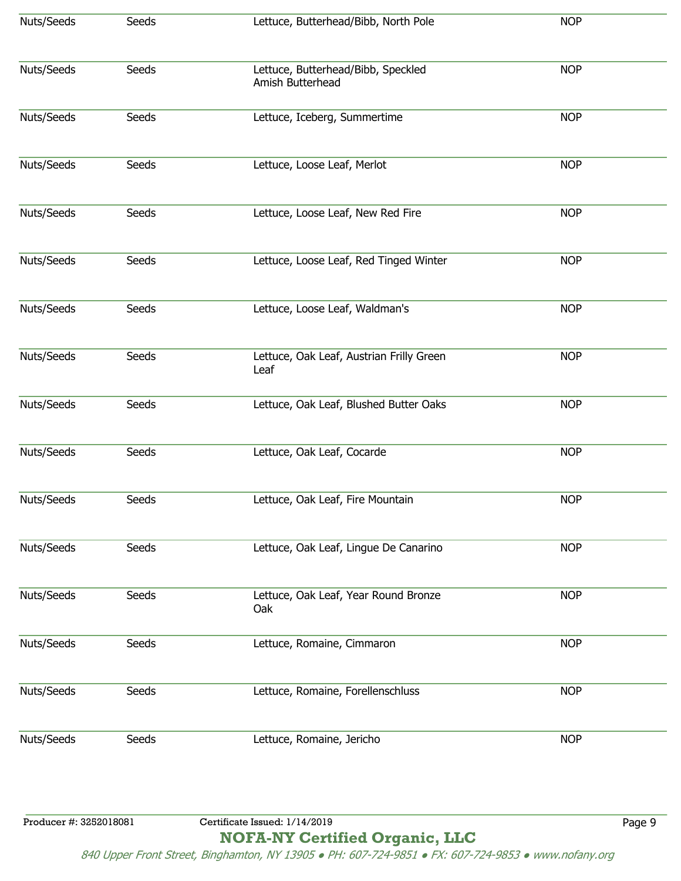| Nuts/Seeds | Seeds | Lettuce, Butterhead/Bibb, North Pole                   | <b>NOP</b> |
|------------|-------|--------------------------------------------------------|------------|
| Nuts/Seeds | Seeds | Lettuce, Butterhead/Bibb, Speckled<br>Amish Butterhead | <b>NOP</b> |
| Nuts/Seeds | Seeds | Lettuce, Iceberg, Summertime                           | <b>NOP</b> |
| Nuts/Seeds | Seeds | Lettuce, Loose Leaf, Merlot                            | <b>NOP</b> |
| Nuts/Seeds | Seeds | Lettuce, Loose Leaf, New Red Fire                      | <b>NOP</b> |
| Nuts/Seeds | Seeds | Lettuce, Loose Leaf, Red Tinged Winter                 | <b>NOP</b> |
| Nuts/Seeds | Seeds | Lettuce, Loose Leaf, Waldman's                         | <b>NOP</b> |
| Nuts/Seeds | Seeds | Lettuce, Oak Leaf, Austrian Frilly Green<br>Leaf       | <b>NOP</b> |
| Nuts/Seeds | Seeds | Lettuce, Oak Leaf, Blushed Butter Oaks                 | <b>NOP</b> |
| Nuts/Seeds | Seeds | Lettuce, Oak Leaf, Cocarde                             | <b>NOP</b> |
| Nuts/Seeds | Seeds | Lettuce, Oak Leaf, Fire Mountain                       | <b>NOP</b> |
| Nuts/Seeds | Seeds | Lettuce, Oak Leaf, Lingue De Canarino                  | <b>NOP</b> |
| Nuts/Seeds | Seeds | Lettuce, Oak Leaf, Year Round Bronze<br>Oak            | <b>NOP</b> |
| Nuts/Seeds | Seeds | Lettuce, Romaine, Cimmaron                             | <b>NOP</b> |
| Nuts/Seeds | Seeds | Lettuce, Romaine, Forellenschluss                      | <b>NOP</b> |
| Nuts/Seeds | Seeds | Lettuce, Romaine, Jericho                              | <b>NOP</b> |

**NOFA-NY Certified Organic, LLC**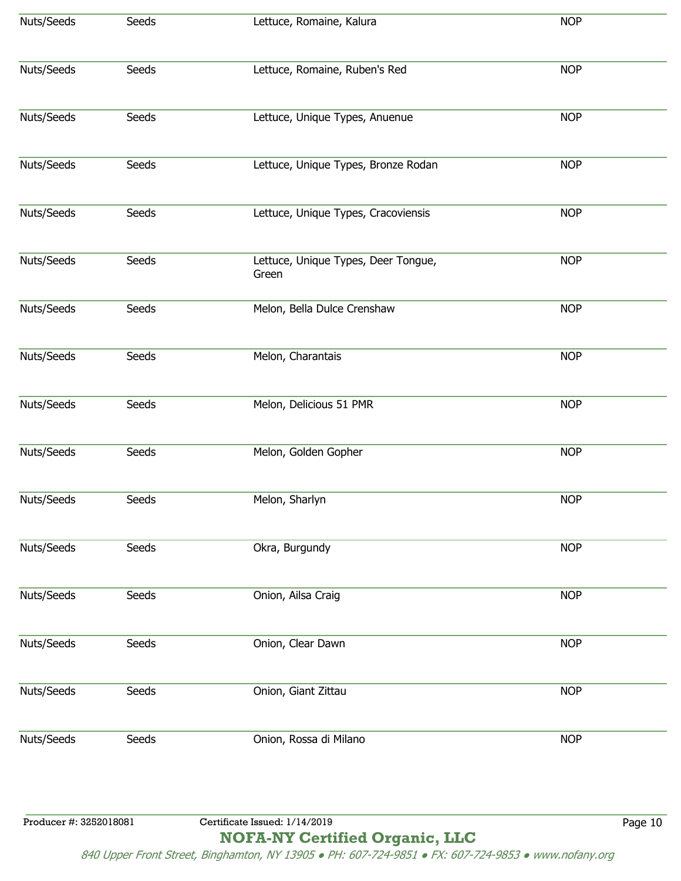| Nuts/Seeds             | Seeds | Lettuce, Romaine, Kalura                     | <b>NOP</b> |
|------------------------|-------|----------------------------------------------|------------|
| Nuts/Seeds             | Seeds | Lettuce, Romaine, Ruben's Red                | <b>NOP</b> |
| Nuts/Seeds             | Seeds | Lettuce, Unique Types, Anuenue               | <b>NOP</b> |
| Nuts/Seeds             | Seeds | Lettuce, Unique Types, Bronze Rodan          | <b>NOP</b> |
| Nuts/Seeds             | Seeds | Lettuce, Unique Types, Cracoviensis          | <b>NOP</b> |
| Nuts/Seeds             | Seeds | Lettuce, Unique Types, Deer Tongue,<br>Green | <b>NOP</b> |
| Nuts/Seeds             | Seeds | Melon, Bella Dulce Crenshaw                  | <b>NOP</b> |
| Nuts/Seeds             | Seeds | Melon, Charantais                            | <b>NOP</b> |
| Nuts/Seeds             | Seeds | Melon, Delicious 51 PMR                      | <b>NOP</b> |
| Nuts/Seeds             | Seeds | Melon, Golden Gopher                         | <b>NOP</b> |
| Nuts/Seeds             | Seeds | Melon, Sharlyn                               | <b>NOP</b> |
| Nuts/Seeds             | Seeds | Okra, Burgundy                               | <b>NOP</b> |
| Nuts/Seeds             | Seeds | Onion, Ailsa Craig                           | <b>NOP</b> |
| Nuts/Seeds             | Seeds | Onion, Clear Dawn                            | <b>NOP</b> |
| Nuts/Seeds             | Seeds | Onion, Giant Zittau                          | <b>NOP</b> |
| Nuts/Seeds             | Seeds | Onion, Rossa di Milano                       | <b>NOP</b> |
|                        |       |                                              |            |
| Producer #: 3252018081 |       | Certificate Issued: 1/14/2019                | Page 10    |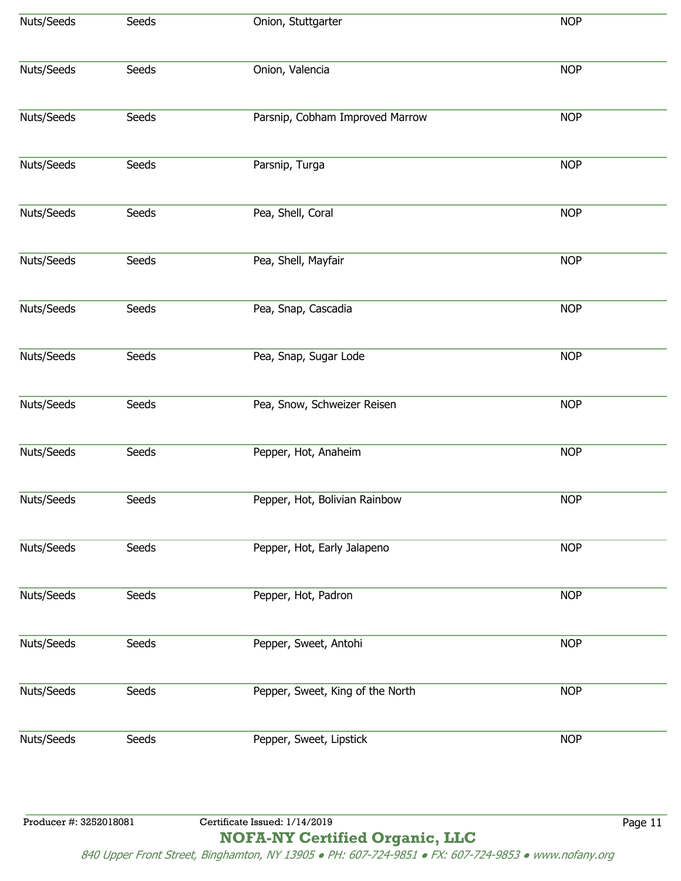| Nuts/Seeds             | Seeds | Onion, Stuttgarter               | <b>NOP</b> |
|------------------------|-------|----------------------------------|------------|
| Nuts/Seeds             | Seeds | Onion, Valencia                  | <b>NOP</b> |
| Nuts/Seeds             | Seeds | Parsnip, Cobham Improved Marrow  | <b>NOP</b> |
| Nuts/Seeds             | Seeds | Parsnip, Turga                   | <b>NOP</b> |
| Nuts/Seeds             | Seeds | Pea, Shell, Coral                | <b>NOP</b> |
| Nuts/Seeds             | Seeds | Pea, Shell, Mayfair              | <b>NOP</b> |
| Nuts/Seeds             | Seeds | Pea, Snap, Cascadia              | <b>NOP</b> |
| Nuts/Seeds             | Seeds | Pea, Snap, Sugar Lode            | <b>NOP</b> |
| Nuts/Seeds             | Seeds | Pea, Snow, Schweizer Reisen      | <b>NOP</b> |
| Nuts/Seeds             | Seeds | Pepper, Hot, Anaheim             | <b>NOP</b> |
| Nuts/Seeds             | Seeds | Pepper, Hot, Bolivian Rainbow    | <b>NOP</b> |
| Nuts/Seeds             | Seeds | Pepper, Hot, Early Jalapeno      | <b>NOP</b> |
| Nuts/Seeds             | Seeds | Pepper, Hot, Padron              | <b>NOP</b> |
| Nuts/Seeds             | Seeds | Pepper, Sweet, Antohi            | <b>NOP</b> |
| Nuts/Seeds             | Seeds | Pepper, Sweet, King of the North | <b>NOP</b> |
| Nuts/Seeds             | Seeds | Pepper, Sweet, Lipstick          | <b>NOP</b> |
|                        |       |                                  |            |
| Producer #: 3252018081 |       | Certificate Issued: 1/14/2019    | Page 11    |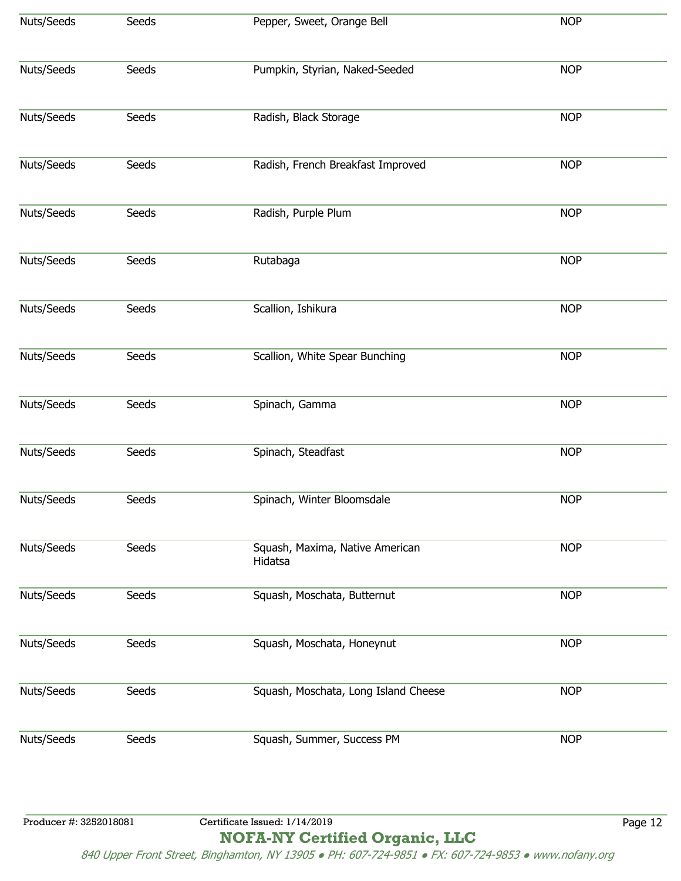| Nuts/Seeds | Seeds | Pepper, Sweet, Orange Bell                 | <b>NOP</b> |
|------------|-------|--------------------------------------------|------------|
| Nuts/Seeds | Seeds | Pumpkin, Styrian, Naked-Seeded             | <b>NOP</b> |
| Nuts/Seeds | Seeds | Radish, Black Storage                      | <b>NOP</b> |
| Nuts/Seeds | Seeds | Radish, French Breakfast Improved          | <b>NOP</b> |
| Nuts/Seeds | Seeds | Radish, Purple Plum                        | <b>NOP</b> |
| Nuts/Seeds | Seeds | Rutabaga                                   | <b>NOP</b> |
| Nuts/Seeds | Seeds | Scallion, Ishikura                         | <b>NOP</b> |
| Nuts/Seeds | Seeds | Scallion, White Spear Bunching             | <b>NOP</b> |
| Nuts/Seeds | Seeds | Spinach, Gamma                             | <b>NOP</b> |
| Nuts/Seeds | Seeds | Spinach, Steadfast                         | <b>NOP</b> |
| Nuts/Seeds | Seeds | Spinach, Winter Bloomsdale                 | <b>NOP</b> |
| Nuts/Seeds | Seeds | Squash, Maxima, Native American<br>Hidatsa | <b>NOP</b> |
| Nuts/Seeds | Seeds | Squash, Moschata, Butternut                | <b>NOP</b> |
| Nuts/Seeds | Seeds | Squash, Moschata, Honeynut                 | <b>NOP</b> |
| Nuts/Seeds | Seeds | Squash, Moschata, Long Island Cheese       | <b>NOP</b> |
| Nuts/Seeds | Seeds | Squash, Summer, Success PM                 | <b>NOP</b> |
|            |       |                                            |            |
|            |       |                                            |            |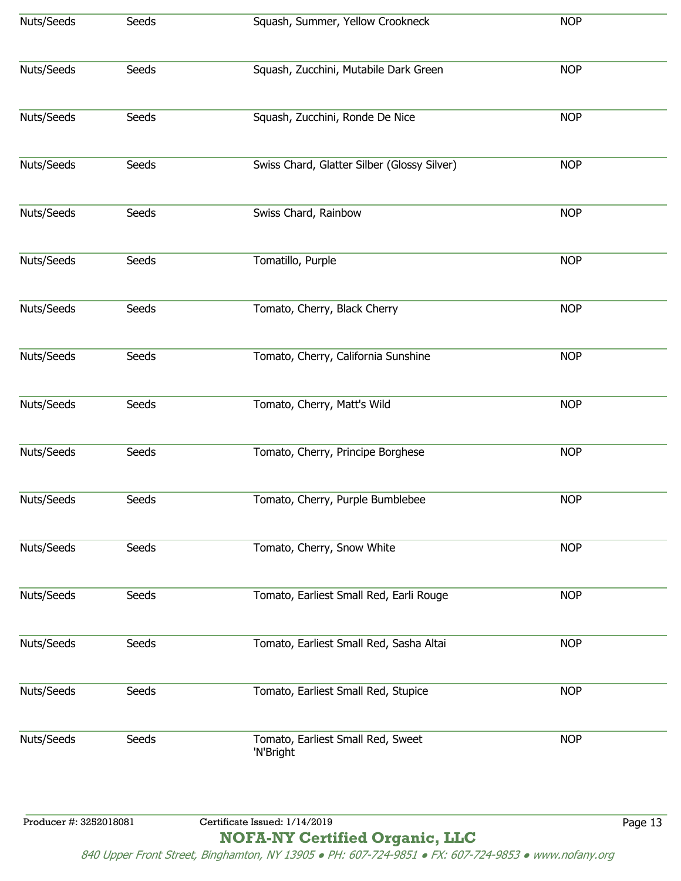| Nuts/Seeds             | Seeds | Squash, Summer, Yellow Crookneck               | <b>NOP</b> |
|------------------------|-------|------------------------------------------------|------------|
| Nuts/Seeds             | Seeds | Squash, Zucchini, Mutabile Dark Green          | <b>NOP</b> |
| Nuts/Seeds             | Seeds | Squash, Zucchini, Ronde De Nice                | <b>NOP</b> |
| Nuts/Seeds             | Seeds | Swiss Chard, Glatter Silber (Glossy Silver)    | <b>NOP</b> |
| Nuts/Seeds             | Seeds | Swiss Chard, Rainbow                           | <b>NOP</b> |
| Nuts/Seeds             | Seeds | Tomatillo, Purple                              | <b>NOP</b> |
| Nuts/Seeds             | Seeds | Tomato, Cherry, Black Cherry                   | <b>NOP</b> |
| Nuts/Seeds             | Seeds | Tomato, Cherry, California Sunshine            | <b>NOP</b> |
| Nuts/Seeds             | Seeds | Tomato, Cherry, Matt's Wild                    | <b>NOP</b> |
| Nuts/Seeds             | Seeds | Tomato, Cherry, Principe Borghese              | <b>NOP</b> |
| Nuts/Seeds             | Seeds | Tomato, Cherry, Purple Bumblebee               | <b>NOP</b> |
| Nuts/Seeds             | Seeds | Tomato, Cherry, Snow White                     | <b>NOP</b> |
| Nuts/Seeds             | Seeds | Tomato, Earliest Small Red, Earli Rouge        | <b>NOP</b> |
| Nuts/Seeds             | Seeds | Tomato, Earliest Small Red, Sasha Altai        | <b>NOP</b> |
| Nuts/Seeds             | Seeds | Tomato, Earliest Small Red, Stupice            | <b>NOP</b> |
| Nuts/Seeds             | Seeds | Tomato, Earliest Small Red, Sweet<br>'N'Bright | <b>NOP</b> |
| Producer #: 3252018081 |       | Certificate Issued: 1/14/2019                  | Page 13    |
|                        |       |                                                |            |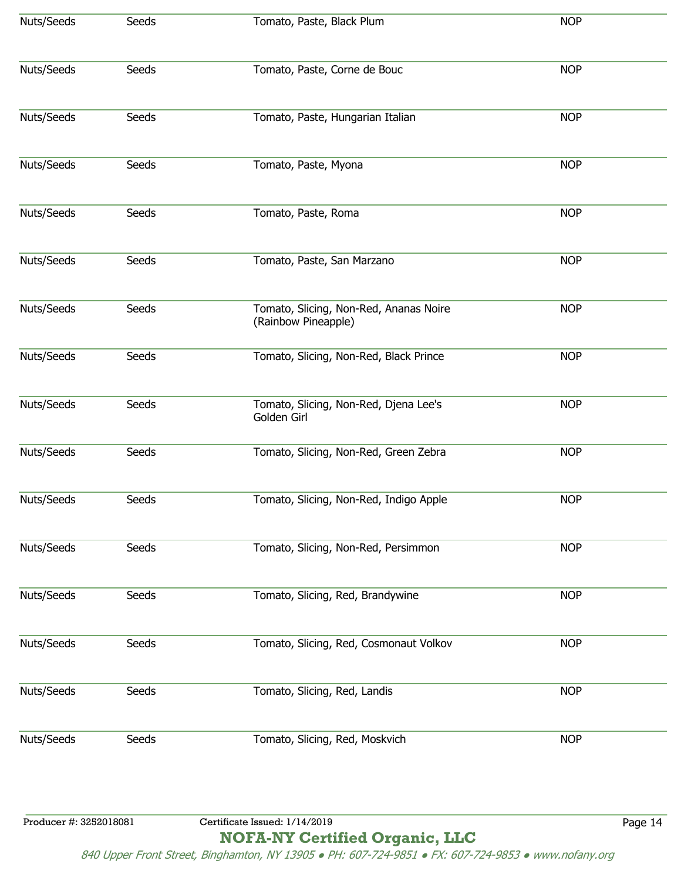| Nuts/Seeds<br>Tomato, Paste, Black Plum<br><b>NOP</b><br>Seeds<br><b>NOP</b><br>Seeds<br>Tomato, Paste, Corne de Bouc<br><b>NOP</b><br>Seeds<br>Tomato, Paste, Hungarian Italian |  |
|----------------------------------------------------------------------------------------------------------------------------------------------------------------------------------|--|
| Nuts/Seeds                                                                                                                                                                       |  |
| Nuts/Seeds                                                                                                                                                                       |  |
|                                                                                                                                                                                  |  |
| Nuts/Seeds<br>Seeds<br><b>NOP</b><br>Tomato, Paste, Myona                                                                                                                        |  |
| Nuts/Seeds<br><b>NOP</b><br>Seeds<br>Tomato, Paste, Roma                                                                                                                         |  |
| Nuts/Seeds<br>Tomato, Paste, San Marzano<br><b>NOP</b><br>Seeds                                                                                                                  |  |
| Nuts/Seeds<br>Seeds<br>Tomato, Slicing, Non-Red, Ananas Noire<br><b>NOP</b><br>(Rainbow Pineapple)                                                                               |  |
| Nuts/Seeds<br>Tomato, Slicing, Non-Red, Black Prince<br><b>NOP</b><br>Seeds                                                                                                      |  |
| <b>NOP</b><br>Nuts/Seeds<br>Seeds<br>Tomato, Slicing, Non-Red, Djena Lee's<br>Golden Girl                                                                                        |  |
| Nuts/Seeds<br>Tomato, Slicing, Non-Red, Green Zebra<br>Seeds<br><b>NOP</b>                                                                                                       |  |
| Nuts/Seeds<br>Seeds<br>Tomato, Slicing, Non-Red, Indigo Apple<br><b>NOP</b>                                                                                                      |  |
| Nuts/Seeds<br>Tomato, Slicing, Non-Red, Persimmon<br><b>NOP</b><br>Seeds                                                                                                         |  |
| Nuts/Seeds<br>Tomato, Slicing, Red, Brandywine<br>Seeds<br><b>NOP</b>                                                                                                            |  |
| Nuts/Seeds<br>Seeds<br>Tomato, Slicing, Red, Cosmonaut Volkov<br><b>NOP</b>                                                                                                      |  |
| Nuts/Seeds<br>Seeds<br>Tomato, Slicing, Red, Landis<br><b>NOP</b>                                                                                                                |  |
| Tomato, Slicing, Red, Moskvich<br>Nuts/Seeds<br>Seeds<br><b>NOP</b>                                                                                                              |  |
|                                                                                                                                                                                  |  |

Producer #: 3252018081 Certificate Issued: 1/14/2019 Page 14 **NOFA-NY Certified Organic, LLC**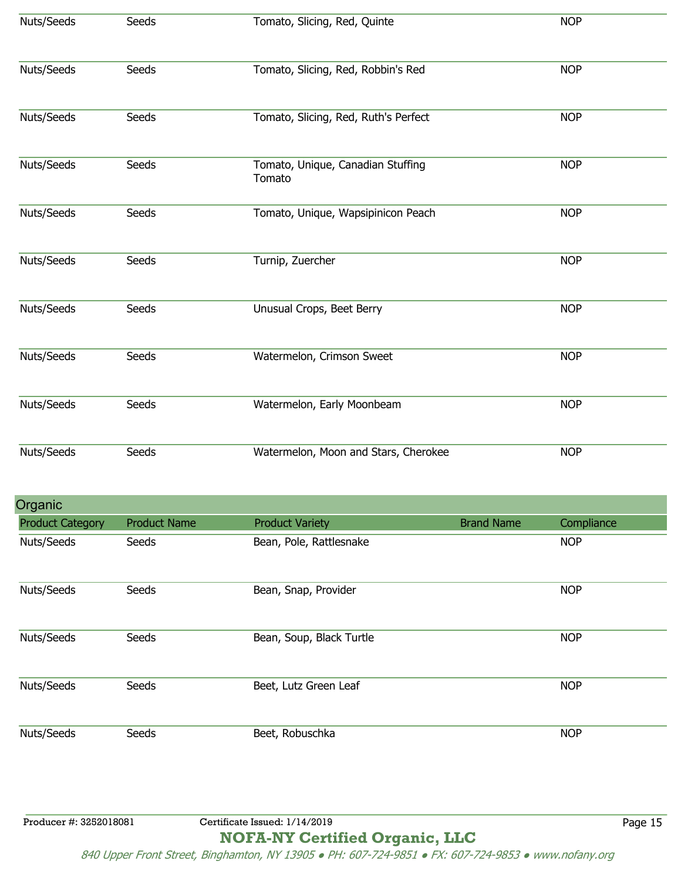| Nuts/Seeds              | Seeds               | Tomato, Slicing, Red, Quinte                |                   | <b>NOP</b> |  |
|-------------------------|---------------------|---------------------------------------------|-------------------|------------|--|
| Nuts/Seeds              | Seeds               | Tomato, Slicing, Red, Robbin's Red          |                   | <b>NOP</b> |  |
| Nuts/Seeds              | Seeds               | Tomato, Slicing, Red, Ruth's Perfect        |                   | <b>NOP</b> |  |
| Nuts/Seeds              | Seeds               | Tomato, Unique, Canadian Stuffing<br>Tomato |                   | <b>NOP</b> |  |
| Nuts/Seeds              | Seeds               | Tomato, Unique, Wapsipinicon Peach          |                   | <b>NOP</b> |  |
| Nuts/Seeds              | Seeds               | Turnip, Zuercher                            |                   | <b>NOP</b> |  |
| Nuts/Seeds              | Seeds               | Unusual Crops, Beet Berry                   |                   | <b>NOP</b> |  |
| Nuts/Seeds              | Seeds               | Watermelon, Crimson Sweet                   |                   | <b>NOP</b> |  |
| Nuts/Seeds              | Seeds               | Watermelon, Early Moonbeam                  |                   | <b>NOP</b> |  |
| Nuts/Seeds              | Seeds               | Watermelon, Moon and Stars, Cherokee        |                   | <b>NOP</b> |  |
| Organic                 |                     |                                             |                   |            |  |
| <b>Product Category</b> | <b>Product Name</b> | <b>Product Variety</b>                      | <b>Brand Name</b> | Compliance |  |
| Nuts/Seeds              | Seeds               | Bean, Pole, Rattlesnake                     |                   | <b>NOP</b> |  |
| Nuts/Seeds              | Seeds               | Bean, Snap, Provider                        |                   | <b>NOP</b> |  |
| Nuts/Seeds              | Seeds               | Bean, Soup, Black Turtle                    |                   | <b>NOP</b> |  |
| Nuts/Seeds              | Seeds               | Beet, Lutz Green Leaf                       |                   | <b>NOP</b> |  |
| Nuts/Seeds              | Seeds               | Beet, Robuschka                             |                   | <b>NOP</b> |  |
|                         |                     |                                             |                   |            |  |

Producer #: 3252018081 Certificate Issued: 1/14/2019 Page 15 **NOFA-NY Certified Organic, LLC**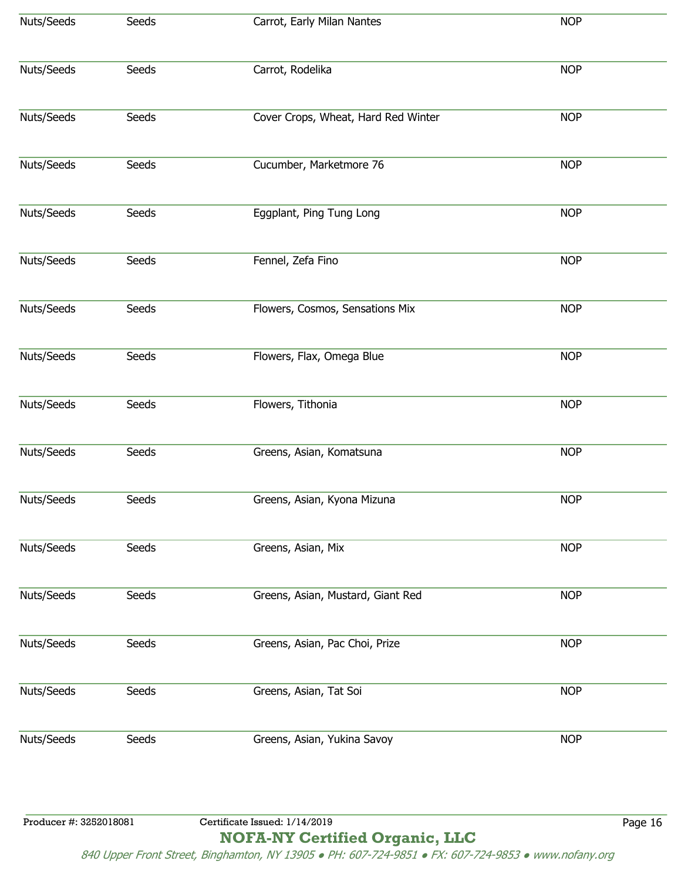| Nuts/Seeds             | Seeds | Carrot, Early Milan Nantes          | <b>NOP</b> |         |
|------------------------|-------|-------------------------------------|------------|---------|
|                        |       |                                     |            |         |
| Nuts/Seeds             | Seeds | Carrot, Rodelika                    | <b>NOP</b> |         |
|                        |       |                                     |            |         |
| Nuts/Seeds             | Seeds | Cover Crops, Wheat, Hard Red Winter | <b>NOP</b> |         |
| Nuts/Seeds             | Seeds | Cucumber, Marketmore 76             | <b>NOP</b> |         |
|                        |       |                                     |            |         |
| Nuts/Seeds             | Seeds | Eggplant, Ping Tung Long            | <b>NOP</b> |         |
| Nuts/Seeds             | Seeds | Fennel, Zefa Fino                   | <b>NOP</b> |         |
|                        |       |                                     |            |         |
| Nuts/Seeds             | Seeds | Flowers, Cosmos, Sensations Mix     | <b>NOP</b> |         |
| Nuts/Seeds             | Seeds | Flowers, Flax, Omega Blue           | <b>NOP</b> |         |
|                        |       |                                     |            |         |
| Nuts/Seeds             | Seeds | Flowers, Tithonia                   | <b>NOP</b> |         |
| Nuts/Seeds             | Seeds | Greens, Asian, Komatsuna            | <b>NOP</b> |         |
|                        |       |                                     |            |         |
| Nuts/Seeds             | Seeds | Greens, Asian, Kyona Mizuna         | <b>NOP</b> |         |
| Nuts/Seeds             | Seeds | Greens, Asian, Mix                  | <b>NOP</b> |         |
|                        |       |                                     |            |         |
| Nuts/Seeds             | Seeds | Greens, Asian, Mustard, Giant Red   | <b>NOP</b> |         |
| Nuts/Seeds             | Seeds | Greens, Asian, Pac Choi, Prize      | <b>NOP</b> |         |
|                        |       |                                     |            |         |
| Nuts/Seeds             | Seeds | Greens, Asian, Tat Soi              | <b>NOP</b> |         |
| Nuts/Seeds             | Seeds | Greens, Asian, Yukina Savoy         | <b>NOP</b> |         |
|                        |       |                                     |            |         |
|                        |       |                                     |            |         |
| Producer #: 3252018081 |       | Certificate Issued: 1/14/2019       |            | Page 16 |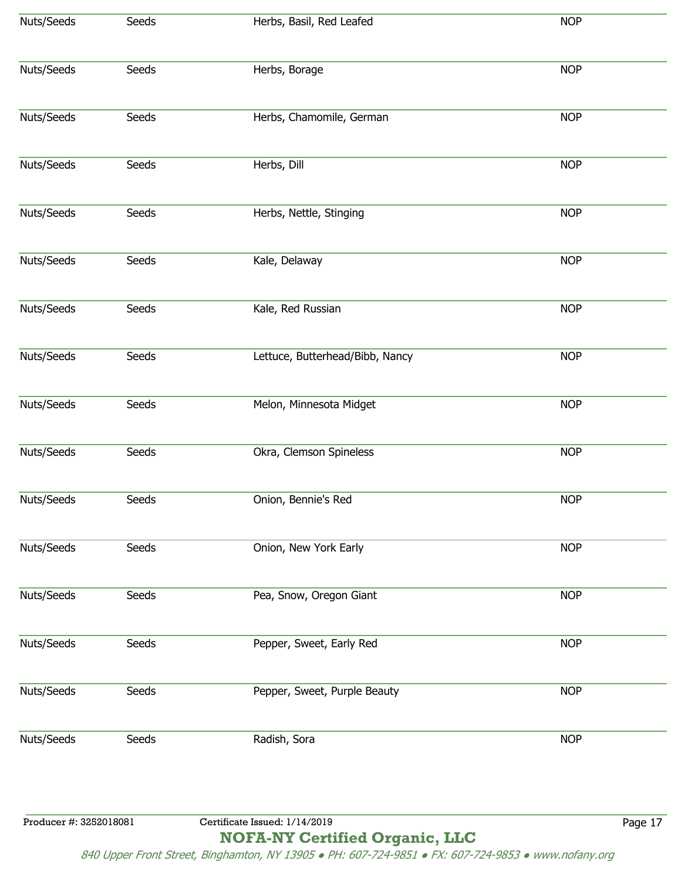| Nuts/Seeds             | Seeds | Herbs, Basil, Red Leafed        | <b>NOP</b> |         |
|------------------------|-------|---------------------------------|------------|---------|
| Nuts/Seeds             | Seeds | Herbs, Borage                   | <b>NOP</b> |         |
| Nuts/Seeds             | Seeds | Herbs, Chamomile, German        | <b>NOP</b> |         |
| Nuts/Seeds             | Seeds | Herbs, Dill                     | <b>NOP</b> |         |
| Nuts/Seeds             | Seeds | Herbs, Nettle, Stinging         | <b>NOP</b> |         |
| Nuts/Seeds             | Seeds | Kale, Delaway                   | <b>NOP</b> |         |
| Nuts/Seeds             | Seeds | Kale, Red Russian               | <b>NOP</b> |         |
| Nuts/Seeds             | Seeds | Lettuce, Butterhead/Bibb, Nancy | <b>NOP</b> |         |
| Nuts/Seeds             | Seeds | Melon, Minnesota Midget         | <b>NOP</b> |         |
| Nuts/Seeds             | Seeds | Okra, Clemson Spineless         | <b>NOP</b> |         |
| Nuts/Seeds             | Seeds | Onion, Bennie's Red             | <b>NOP</b> |         |
| Nuts/Seeds             | Seeds | Onion, New York Early           | <b>NOP</b> |         |
| Nuts/Seeds             | Seeds | Pea, Snow, Oregon Giant         | <b>NOP</b> |         |
| Nuts/Seeds             | Seeds | Pepper, Sweet, Early Red        | <b>NOP</b> |         |
| Nuts/Seeds             | Seeds | Pepper, Sweet, Purple Beauty    | <b>NOP</b> |         |
| Nuts/Seeds             | Seeds | Radish, Sora                    | <b>NOP</b> |         |
|                        |       |                                 |            |         |
| Producer #: 3252018081 |       | Certificate Issued: 1/14/2019   |            | Page 17 |